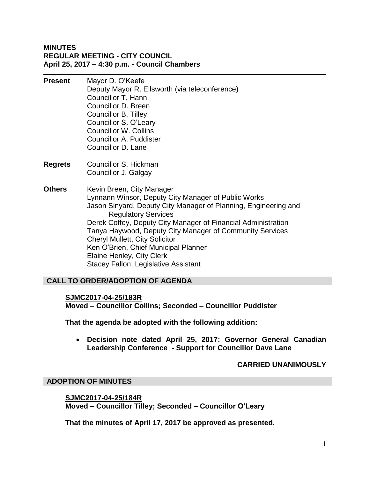#### **MINUTES REGULAR MEETING - CITY COUNCIL April 25, 2017 – 4:30 p.m. - Council Chambers**

- **Present** Mayor D. O'Keefe Deputy Mayor R. Ellsworth (via teleconference) Councillor T. Hann Councillor D. Breen Councillor B. Tilley Councillor S. O'Leary Councillor W. Collins Councillor A. Puddister Councillor D. Lane
- **Regrets** Councillor S. Hickman Councillor J. Galgay
- **Others** Kevin Breen, City Manager Lynnann Winsor, Deputy City Manager of Public Works Jason Sinyard, Deputy City Manager of Planning, Engineering and Regulatory Services Derek Coffey, Deputy City Manager of Financial Administration Tanya Haywood, Deputy City Manager of Community Services Cheryl Mullett, City Solicitor Ken O'Brien, Chief Municipal Planner Elaine Henley, City Clerk Stacey Fallon, Legislative Assistant

# **CALL TO ORDER/ADOPTION OF AGENDA**

#### **SJMC2017-04-25/183R**

**Moved – Councillor Collins; Seconded – Councillor Puddister** 

**That the agenda be adopted with the following addition:**

 **Decision note dated April 25, 2017: Governor General Canadian Leadership Conference - Support for Councillor Dave Lane**

#### **CARRIED UNANIMOUSLY**

#### **ADOPTION OF MINUTES**

**SJMC2017-04-25/184R Moved – Councillor Tilley; Seconded – Councillor O'Leary** 

**That the minutes of April 17, 2017 be approved as presented.**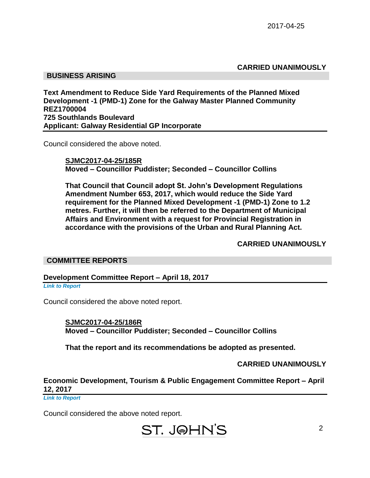**CARRIED UNANIMOUSLY**

## **BUSINESS ARISING**

**Text Amendment to Reduce Side Yard Requirements of the Planned Mixed Development -1 (PMD-1) Zone for the Galway Master Planned Community REZ1700004 725 Southlands Boulevard Applicant: Galway Residential GP Incorporate**

Council considered the above noted.

**SJMC2017-04-25/185R Moved – Councillor Puddister; Seconded – Councillor Collins**

**That Council that Council adopt St. John's Development Regulations Amendment Number 653, 2017, which would reduce the Side Yard requirement for the Planned Mixed Development -1 (PMD-1) Zone to 1.2 metres. Further, it will then be referred to the Department of Municipal Affairs and Environment with a request for Provincial Registration in accordance with the provisions of the Urban and Rural Planning Act.**

**CARRIED UNANIMOUSLY**

#### **COMMITTEE REPORTS**

**Development Committee Report – April 18, 2017**

*Link to Report*

Council considered the above noted report.

**SJMC2017-04-25/186R Moved – Councillor Puddister; Seconded – Councillor Collins**

**That the report and its recommendations be adopted as presented.**

**CARRIED UNANIMOUSLY**

#### **Economic Development, Tourism & Public Engagement Committee Report – April 12, 2017**

*Link to Report*

Council considered the above noted report.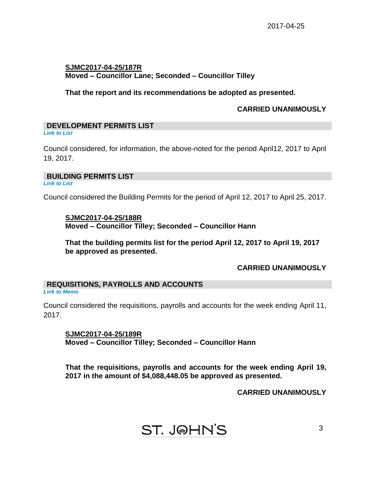#### **SJMC2017-04-25/187R Moved – Councillor Lane; Seconded – Councillor Tilley**

**That the report and its recommendations be adopted as presented.**

#### **CARRIED UNANIMOUSLY**

# **DEVELOPMENT PERMITS LIST**

*Link to List*

Council considered, for information, the above-noted for the period April12, 2017 to April 19, 2017.

#### **BUILDING PERMITS LIST**

*Link to List*

Council considered the Building Permits for the period of April 12, 2017 to April 25, 2017.

#### **SJMC2017-04-25/188R Moved – Councillor Tilley; Seconded – Councillor Hann**

**That the building permits list for the period April 12, 2017 to April 19, 2017 be approved as presented.**

#### **CARRIED UNANIMOUSLY**

#### **REQUISITIONS, PAYROLLS AND ACCOUNTS** *Link to Memo*

Council considered the requisitions, payrolls and accounts for the week ending April 11, 2017.

**SJMC2017-04-25/189R Moved – Councillor Tilley; Seconded – Councillor Hann**

**That the requisitions, payrolls and accounts for the week ending April 19, 2017 in the amount of \$4,088,448.05 be approved as presented.**

#### **CARRIED UNANIMOUSLY**

# **ST. J@HN'S**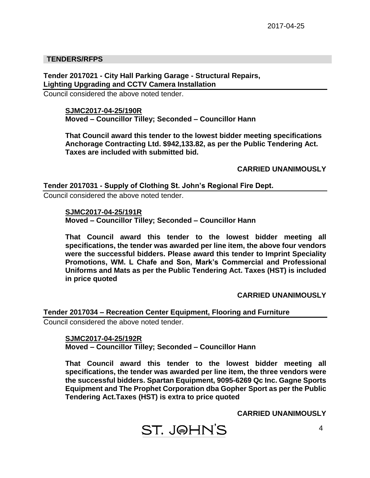#### **TENDERS/RFPS**

**Tender 2017021 - City Hall Parking Garage - Structural Repairs, Lighting Upgrading and CCTV Camera Installation**

Council considered the above noted tender.

#### **SJMC2017-04-25/190R Moved – Councillor Tilley; Seconded – Councillor Hann**

**That Council award this tender to the lowest bidder meeting specifications Anchorage Contracting Ltd. \$942,133.82, as per the Public Tendering Act. Taxes are included with submitted bid.**

**CARRIED UNANIMOUSLY**

**Tender 2017031 - Supply of Clothing St. John's Regional Fire Dept.**

Council considered the above noted tender.

**SJMC2017-04-25/191R**

**Moved – Councillor Tilley; Seconded – Councillor Hann**

**That Council award this tender to the lowest bidder meeting all specifications, the tender was awarded per line item, the above four vendors were the successful bidders. Please award this tender to Imprint Speciality Promotions, WM. L Chafe and Son, Mark's Commercial and Professional Uniforms and Mats as per the Public Tendering Act. Taxes (HST) is included in price quoted**

**CARRIED UNANIMOUSLY**

#### **Tender 2017034 – Recreation Center Equipment, Flooring and Furniture**

Council considered the above noted tender.

#### **SJMC2017-04-25/192R Moved – Councillor Tilley; Seconded – Councillor Hann**

**That Council award this tender to the lowest bidder meeting all specifications, the tender was awarded per line item, the three vendors were the successful bidders. Spartan Equipment, 9095-6269 Qc Inc. Gagne Sports Equipment and The Prophet Corporation dba Gopher Sport as per the Public Tendering Act.Taxes (HST) is extra to price quoted**

**CARRIED UNANIMOUSLY**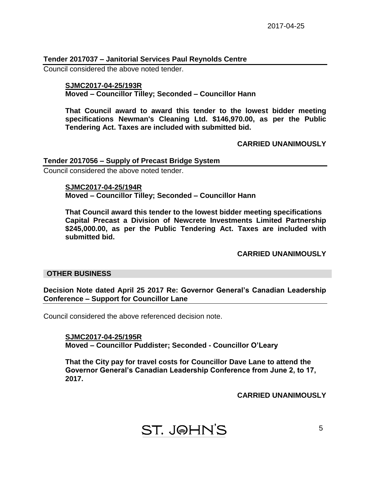## **Tender 2017037 – Janitorial Services Paul Reynolds Centre**

Council considered the above noted tender.

## **SJMC2017-04-25/193R Moved – Councillor Tilley; Seconded – Councillor Hann**

**That Council award to award this tender to the lowest bidder meeting specifications Newman's Cleaning Ltd. \$146,970.00, as per the Public Tendering Act. Taxes are included with submitted bid.**

# **CARRIED UNANIMOUSLY**

# **Tender 2017056 – Supply of Precast Bridge System**

Council considered the above noted tender.

**SJMC2017-04-25/194R Moved – Councillor Tilley; Seconded – Councillor Hann**

**That Council award this tender to the lowest bidder meeting specifications Capital Precast a Division of Newcrete Investments Limited Partnership \$245,000.00, as per the Public Tendering Act. Taxes are included with submitted bid.**

**CARRIED UNANIMOUSLY**

#### **OTHER BUSINESS**

**Decision Note dated April 25 2017 Re: Governor General's Canadian Leadership Conference – Support for Councillor Lane**

Council considered the above referenced decision note.

**SJMC2017-04-25/195R Moved – Councillor Puddister; Seconded - Councillor O'Leary**

**That the City pay for travel costs for Councillor Dave Lane to attend the Governor General's Canadian Leadership Conference from June 2, to 17, 2017.**

**CARRIED UNANIMOUSLY**